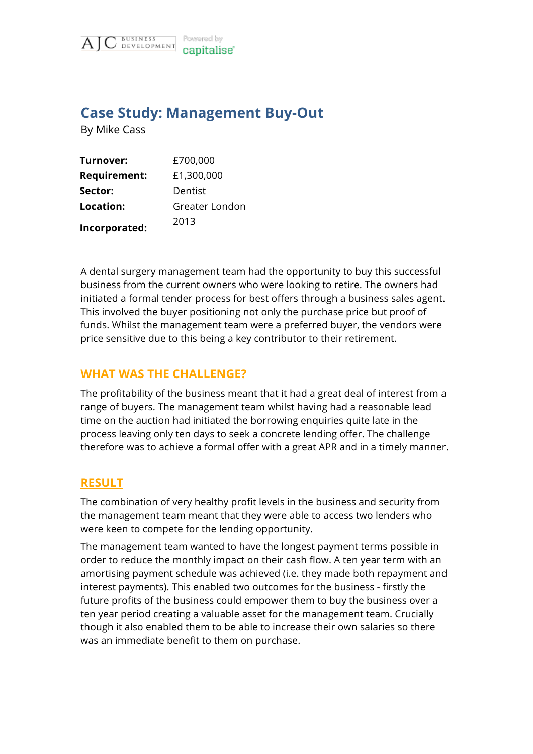

## **Case Study: Management Buy-Out**

By Mike Cass

| Turnover:           | £700,000       |
|---------------------|----------------|
| <b>Requirement:</b> | £1,300,000     |
| Sector:             | Dentist        |
| Location:           | Greater London |
| Incorporated:       | 2013           |

A dental surgery management team had the opportunity to buy this successful business from the current owners who were looking to retire. The owners had initiated a formal tender process for best offers through a business sales agent. This involved the buyer positioning not only the purchase price but proof of funds. Whilst the management team were a preferred buyer, the vendors were price sensitive due to this being a key contributor to their retirement.

## **WHAT WAS THE CHALLENGE?**

The profitability of the business meant that it had a great deal of interest from a range of buyers. The management team whilst having had a reasonable lead time on the auction had initiated the borrowing enquiries quite late in the process leaving only ten days to seek a concrete lending offer. The challenge therefore was to achieve a formal offer with a great APR and in a timely manner.

## **RESULT**

The combination of very healthy profit levels in the business and security from the management team meant that they were able to access two lenders who were keen to compete for the lending opportunity.

The management team wanted to have the longest payment terms possible in order to reduce the monthly impact on their cash flow. A ten year term with an amortising payment schedule was achieved (i.e. they made both repayment and interest payments). This enabled two outcomes for the business - firstly the future profits of the business could empower them to buy the business over a ten year period creating a valuable asset for the management team. Crucially though it also enabled them to be able to increase their own salaries so there was an immediate benefit to them on purchase.